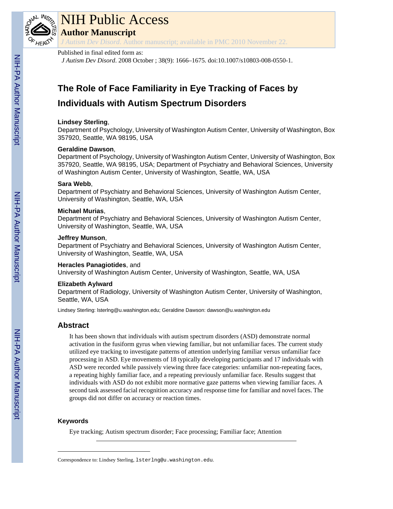

# NIH Public Access

**Author Manuscript**

*J Autism Dev Disord*. Author manuscript; available in PMC 2010 November 22.

# Published in final edited form as:

*J Autism Dev Disord*. 2008 October ; 38(9): 1666–1675. doi:10.1007/s10803-008-0550-1.

# **The Role of Face Familiarity in Eye Tracking of Faces by Individuals with Autism Spectrum Disorders**

# **Lindsey Sterling**,

Department of Psychology, University of Washington Autism Center, University of Washington, Box 357920, Seattle, WA 98195, USA

# **Geraldine Dawson**,

Department of Psychology, University of Washington Autism Center, University of Washington, Box 357920, Seattle, WA 98195, USA; Department of Psychiatry and Behavioral Sciences, University of Washington Autism Center, University of Washington, Seattle, WA, USA

# **Sara Webb**,

Department of Psychiatry and Behavioral Sciences, University of Washington Autism Center, University of Washington, Seattle, WA, USA

# **Michael Murias**,

Department of Psychiatry and Behavioral Sciences, University of Washington Autism Center, University of Washington, Seattle, WA, USA

# **Jeffrey Munson**,

Department of Psychiatry and Behavioral Sciences, University of Washington Autism Center, University of Washington, Seattle, WA, USA

# **Heracles Panagiotides**, and

University of Washington Autism Center, University of Washington, Seattle, WA, USA

# **Elizabeth Aylward**

Department of Radiology, University of Washington Autism Center, University of Washington, Seattle, WA, USA

Lindsey Sterling: lsterlng@u.washington.edu; Geraldine Dawson: dawson@u.washington.edu

# **Abstract**

It has been shown that individuals with autism spectrum disorders (ASD) demonstrate normal activation in the fusiform gyrus when viewing familiar, but not unfamiliar faces. The current study utilized eye tracking to investigate patterns of attention underlying familiar versus unfamiliar face processing in ASD. Eye movements of 18 typically developing participants and 17 individuals with ASD were recorded while passively viewing three face categories: unfamiliar non-repeating faces, a repeating highly familiar face, and a repeating previously unfamiliar face. Results suggest that individuals with ASD do not exhibit more normative gaze patterns when viewing familiar faces. A second task assessed facial recognition accuracy and response time for familiar and novel faces. The groups did not differ on accuracy or reaction times.

# **Keywords**

Eye tracking; Autism spectrum disorder; Face processing; Familiar face; Attention

Correspondence to: Lindsey Sterling, lsterlng@u.washington.edu.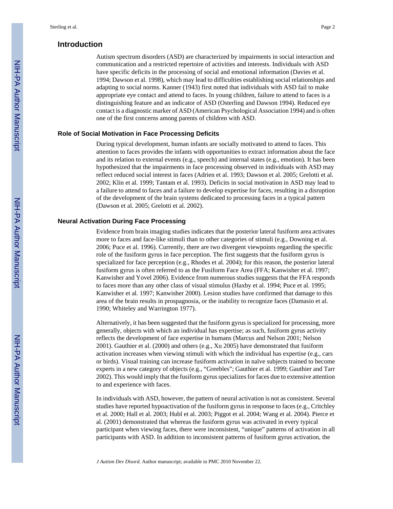# **Introduction**

Autism spectrum disorders (ASD) are characterized by impairments in social interaction and communication and a restricted repertoire of activities and interests. Individuals with ASD have specific deficits in the processing of social and emotional information (Davies et al. 1994; Dawson et al. 1998), which may lead to difficulties establishing social relationships and adapting to social norms. Kanner (1943) first noted that individuals with ASD fail to make appropriate eye contact and attend to faces. In young children, failure to attend to faces is a distinguishing feature and an indicator of ASD (Osterling and Dawson 1994). Reduced eye contact is a diagnostic marker of ASD (American Psychological Association 1994) and is often one of the first concerns among parents of children with ASD.

#### **Role of Social Motivation in Face Processing Deficits**

During typical development, human infants are socially motivated to attend to faces. This attention to faces provides the infants with opportunities to extract information about the face and its relation to external events (e.g., speech) and internal states (e.g., emotion). It has been hypothesized that the impairments in face processing observed in individuals with ASD may reflect reduced social interest in faces (Adrien et al. 1993; Dawson et al. 2005; Grelotti et al. 2002; Klin et al. 1999; Tantam et al. 1993). Deficits in social motivation in ASD may lead to a failure to attend to faces and a failure to develop expertise for faces, resulting in a disruption of the development of the brain systems dedicated to processing faces in a typical pattern (Dawson et al. 2005; Grelotti et al. 2002).

## **Neural Activation During Face Processing**

Evidence from brain imaging studies indicates that the posterior lateral fusiform area activates more to faces and face-like stimuli than to other categories of stimuli (e.g., Downing et al. 2006; Puce et al. 1996). Currently, there are two divergent viewpoints regarding the specific role of the fusiform gyrus in face perception. The first suggests that the fusiform gyrus is specialized for face perception (e.g., Rhodes et al. 2004); for this reason, the posterior lateral fusiform gyrus is often referred to as the Fusiform Face Area (FFA; Kanwisher et al. 1997; Kanwisher and Yovel 2006). Evidence from numerous studies suggests that the FFA responds to faces more than any other class of visual stimulus (Haxby et al. 1994; Puce et al. 1995; Kanwisher et al. 1997; Kanwisher 2000). Lesion studies have confirmed that damage to this area of the brain results in prospagnosia, or the inability to recognize faces (Damasio et al. 1990; Whiteley and Warrington 1977).

Alternatively, it has been suggested that the fusiform gyrus is specialized for processing, more generally, objects with which an individual has expertise; as such, fusiform gyrus activity reflects the development of face expertise in humans (Marcus and Nelson 2001; Nelson 2001). Gauthier et al. (2000) and others (e.g., Xu 2005) have demonstrated that fusiform activation increases when viewing stimuli with which the individual has expertise (e.g., cars or birds). Visual training can increase fusiform activation in naïve subjects trained to become experts in a new category of objects (e.g., "Greebles"; Gauthier et al. 1999; Gauthier and Tarr 2002). This would imply that the fusiform gyrus specializes for faces due to extensive attention to and experience with faces.

In individuals with ASD, however, the pattern of neural activation is not as consistent. Several studies have reported hypoactivation of the fusiform gyrus in response to faces (e.g., Critchley et al. 2000; Hall et al. 2003; Hubl et al. 2003; Piggot et al. 2004; Wang et al. 2004). Pierce et al. (2001) demonstrated that whereas the fusiform gyrus was activated in every typical participant when viewing faces, there were inconsistent, "unique" patterns of activation in all participants with ASD. In addition to inconsistent patterns of fusiform gyrus activation, the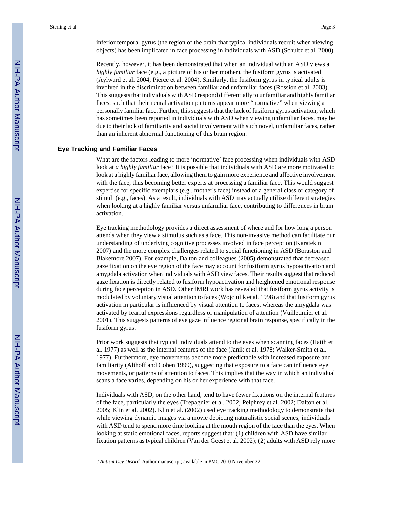Recently, however, it has been demonstrated that when an individual with an ASD views a *highly familiar* face (e.g., a picture of his or her mother), the fusiform gyrus is activated (Aylward et al. 2004; Pierce et al. 2004). Similarly, the fusiform gyrus in typical adults is involved in the discrimination between familiar and unfamiliar faces (Rossion et al. 2003). This suggests that individuals with ASD respond differentially to unfamiliar and highly familiar faces, such that their neural activation patterns appear more "normative" when viewing a personally familiar face. Further, this suggests that the lack of fusiform gyrus activation, which has sometimes been reported in individuals with ASD when viewing unfamiliar faces, may be due to their lack of familiarity and social involvement with such novel, unfamiliar faces, rather than an inherent abnormal functioning of this brain region.

#### **Eye Tracking and Familiar Faces**

What are the factors leading to more 'normative' face processing when individuals with ASD look at *a highly familiar* face? It is possible that individuals with ASD are more motivated to look at a highly familiar face, allowing them to gain more experience and affective involvement with the face, thus becoming better experts at processing a familiar face. This would suggest expertise for specific exemplars (e.g., mother's face) instead of a general class or category of stimuli (e.g., faces). As a result, individuals with ASD may actually utilize different strategies when looking at a highly familiar versus unfamiliar face, contributing to differences in brain activation.

Eye tracking methodology provides a direct assessment of where and for how long a person attends when they view a stimulus such as a face. This non-invasive method can facilitate our understanding of underlying cognitive processes involved in face perception (Karatekin 2007) and the more complex challenges related to social functioning in ASD (Boraston and Blakemore 2007). For example, Dalton and colleagues (2005) demonstrated that decreased gaze fixation on the eye region of the face may account for fusiform gyrus hypoactivation and amygdala activation when individuals with ASD view faces. Their results suggest that reduced gaze fixation is directly related to fusiform hypoactivation and heightened emotional response during face perception in ASD. Other fMRI work has revealed that fusiform gyrus activity is modulated by voluntary visual attention to faces (Wojciulik et al. 1998) and that fusiform gyrus activation in particular is influenced by visual attention to faces, whereas the amygdala was activated by fearful expressions regardless of manipulation of attention (Vuilleumier et al. 2001). This suggests patterns of eye gaze influence regional brain response, specifically in the fusiform gyrus.

Prior work suggests that typical individuals attend to the eyes when scanning faces (Haith et al. 1977) as well as the internal features of the face (Janik et al. 1978; Walker-Smith et al. 1977). Furthermore, eye movements become more predictable with increased exposure and familiarity (Althoff and Cohen 1999), suggesting that exposure to a face can influence eye movements, or patterns of attention to faces. This implies that the way in which an individual scans a face varies, depending on his or her experience with that face.

Individuals with ASD, on the other hand, tend to have fewer fixations on the internal features of the face, particularly the eyes (Trepagnier et al. 2002; Pelphrey et al. 2002; Dalton et al. 2005; Klin et al. 2002). Klin et al. (2002) used eye tracking methodology to demonstrate that while viewing dynamic images via a movie depicting naturalistic social scenes, individuals with ASD tend to spend more time looking at the mouth region of the face than the eyes. When looking at static emotional faces, reports suggest that: (1) children with ASD have similar fixation patterns as typical children (Van der Geest et al. 2002); (2) adults with ASD rely more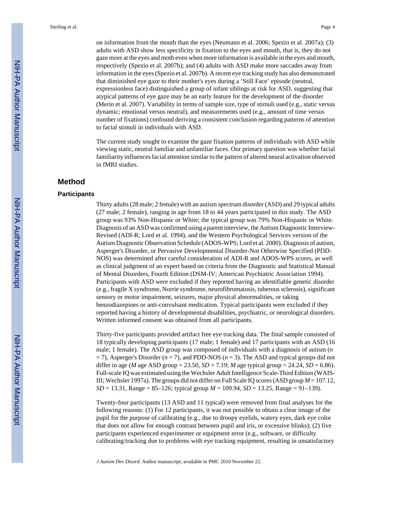on information from the mouth than the eyes (Neumann et al. 2006; Spezio et al. 2007a); (3) adults with ASD show less specificity in fixation to the eyes and mouth, that is, they do not gaze more at the eyes and moth even when more information is available in the eyes and mouth, respectively (Spezio et al. 2007b); and (4) adults with ASD make more saccades away from information in the eyes (Spezio et al. 2007b). A recent eye tracking study has also demonstrated that diminished eye gaze to their mother's eyes during a 'Still Face' episode (neutral, expressionless face) distinguished a group of infant siblings at risk for ASD, suggesting that atypical patterns of eye gaze may be an early feature for the development of the disorder (Merin et al. 2007). Variability in terms of sample size, type of stimuli used (e.g., static versus dynamic; emotional versus neutral), and measurements used (e.g., amount of time versus number of fixations) confound deriving a consistent conclusion regarding patterns of attention to facial stimuli in individuals with ASD.

The current study sought to examine the gaze fixation patterns of individuals with ASD while viewing static, neutral familiar and unfamiliar faces. Our primary question was whether facial familiarity influences facial attention similar to the pattern of altered neural activation observed in fMRI studies.

# **Method**

#### **Participants**

Thirty adults (28 male; 2 female) with an autism spectrum disorder (ASD) and 29 typical adults (27 male; 2 female), ranging in age from 18 to 44 years participated in this study. The ASD group was 93% Non-Hispanic or White; the typical group was 79% Non-Hispanic or White. Diagnosis of an ASD was confirmed using a parent interview, the Autism Diagnostic Interview-Revised (ADI-R; Lord et al. 1994), and the Western Psychological Services version of the Autism Diagnostic Observation Schedule (ADOS-WPS; Lord et al. 2000). Diagnosis of autism, Asperger's Disorder, or Pervasive Developmental Disorder-Not Otherwise Specified (PDD-NOS) was determined after careful consideration of ADI-R and ADOS-WPS scores, as well as clinical judgment of an expert based on criteria from the Diagnostic and Statistical Manual of Mental Disorders, Fourth Edition (DSM-IV; American Psychiatric Association 1994). Participants with ASD were excluded if they reported having an identifiable genetic disorder (e.g., fragile X syndrome, Norrie syndrome, neurofibromatosis, tuberous sclerosis), significant sensory or motor impairment, seizures, major physical abnormalities, or taking benzodiazepines or anti-convulsant medication. Typical participants were excluded if they reported having a history of developmental disabilities, psychiatric, or neurological disorders. Written informed consent was obtained from all participants.

Thirty-five participants provided artifact free eye tracking data. The final sample consisted of 18 typically developing participants (17 male; 1 female) and 17 participants with an ASD (16 male; 1 female). The ASD group was composed of individuals with a diagnosis of autism (*n*  $=$  7), Asperger's Disorder ( $n = 7$ ), and PDD-NOS ( $n = 3$ ). The ASD and typical groups did not differ in age (*M* age ASD group = 23.50,  $SD = 7.19$ ; *M* age typical group = 24.24,  $SD = 6.86$ ). Full-scale IQ was estimated using the Wechsler Adult Intelligence Scale-Third Edition (WAIS-III; Wechsler 1997a). The groups did not differ on Full Scale IQ scores (ASD group *M* = 107.12, *SD* = 13.31, Range = 85–126; typical group *M* = 109.94, *SD* = 13.25, Range = 91–139).

Twenty-four participants (13 ASD and 11 typical) were removed from final analyses for the following reasons: (1) For 12 participants, it was not possible to obtain a clear image of the pupil for the purpose of calibrating (e.g., due to droopy eyelids, watery eyes, dark eye color that does not allow for enough contrast between pupil and iris, or excessive blinks); (2) five participants experienced experimenter or equipment error (e.g., software, or difficulty calibrating/tracking due to problems with eye tracking equipment, resulting in unsatisfactory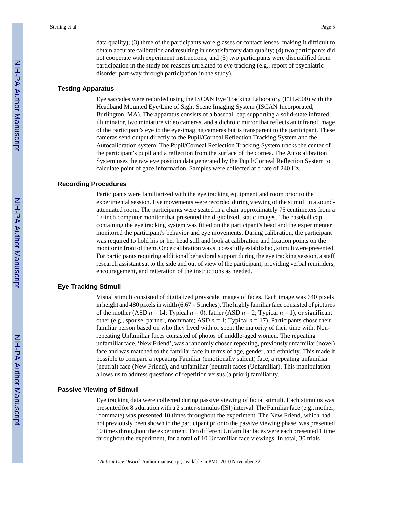data quality); (3) three of the participants wore glasses or contact lenses, making it difficult to obtain accurate calibration and resulting in unsatisfactory data quality; (4) two participants did not cooperate with experiment instructions; and (5) two participants were disqualified from participation in the study for reasons unrelated to eye tracking (e.g., report of psychiatric disorder part-way through participation in the study).

#### **Testing Apparatus**

Eye saccades were recorded using the ISCAN Eye Tracking Laboratory (ETL-500) with the Headband Mounted Eye/Line of Sight Scene Imaging System (ISCAN Incorporated, Burlington, MA). The apparatus consists of a baseball cap supporting a solid-state infrared illuminator, two miniature video cameras, and a dichroic mirror that reflects an infrared image of the participant's eye to the eye-imaging cameras but is transparent to the participant. These cameras send output directly to the Pupil/Corneal Reflection Tracking System and the Autocalibration system. The Pupil/Corneal Reflection Tracking System tracks the center of the participant's pupil and a reflection from the surface of the cornea. The Autocalibration System uses the raw eye position data generated by the Pupil/Corneal Reflection System to calculate point of gaze information. Samples were collected at a rate of 240 Hz.

#### **Recording Procedures**

Participants were familiarized with the eye tracking equipment and room prior to the experimental session. Eye movements were recorded during viewing of the stimuli in a soundattenuated room. The participants were seated in a chair approximately 75 centimeters from a 17-inch computer monitor that presented the digitalized, static images. The baseball cap containing the eye tracking system was fitted on the participant's head and the experimenter monitored the participant's behavior and eye movements. During calibration, the participant was required to hold his or her head still and look at calibration and fixation points on the monitor in front of them. Once calibration was successfully established, stimuli were presented. For participants requiring additional behavioral support during the eye tracking session, a staff research assistant sat to the side and out of view of the participant, providing verbal reminders, encouragement, and reiteration of the instructions as needed.

#### **Eye Tracking Stimuli**

Visual stimuli consisted of digitalized grayscale images of faces. Each image was 640 pixels in height and 480 pixels in width  $(6.67 \times 5)$  inches). The highly familiar face consisted of pictures of the mother (ASD  $n = 14$ ; Typical  $n = 0$ ), father (ASD  $n = 2$ ; Typical  $n = 1$ ), or significant other (e.g., spouse, partner, roommate; ASD  $n = 1$ ; Typical  $n = 17$ ). Participants chose their familiar person based on who they lived with or spent the majority of their time with. Nonrepeating Unfamiliar faces consisted of photos of middle-aged women. The repeating unfamiliar face, 'New Friend', was a randomly chosen repeating, previously unfamiliar (novel) face and was matched to the familiar face in terms of age, gender, and ethnicity. This made it possible to compare a repeating Familiar (emotionally salient) face, a repeating unfamiliar (neutral) face (New Friend), and unfamiliar (neutral) faces (Unfamiliar). This manipulation allows us to address questions of repetition versus (a priori) familiarity.

#### **Passive Viewing of Stimuli**

Eye tracking data were collected during passive viewing of facial stimuli. Each stimulus was presented for 8 s duration with a 2 s inter-stimulus (ISI) interval. The Familiar face (e.g., mother, roommate) was presented 10 times throughout the experiment. The New Friend, which had not previously been shown to the participant prior to the passive viewing phase, was presented 10 times throughout the experiment. Ten different Unfamiliar faces were each presented 1 time throughout the experiment, for a total of 10 Unfamiliar face viewings. In total, 30 trials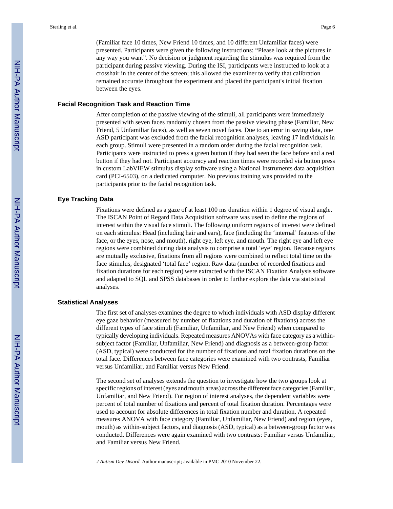(Familiar face 10 times, New Friend 10 times, and 10 different Unfamiliar faces) were presented. Participants were given the following instructions: "Please look at the pictures in any way you want". No decision or judgment regarding the stimulus was required from the participant during passive viewing. During the ISI, participants were instructed to look at a crosshair in the center of the screen; this allowed the examiner to verify that calibration remained accurate throughout the experiment and placed the participant's initial fixation between the eyes.

#### **Facial Recognition Task and Reaction Time**

After completion of the passive viewing of the stimuli, all participants were immediately presented with seven faces randomly chosen from the passive viewing phase (Familiar, New Friend, 5 Unfamiliar faces), as well as seven novel faces. Due to an error in saving data, one ASD participant was excluded from the facial recognition analyses, leaving 17 individuals in each group. Stimuli were presented in a random order during the facial recognition task. Participants were instructed to press a green button if they had seen the face before and a red button if they had not. Participant accuracy and reaction times were recorded via button press in custom LabVIEW stimulus display software using a National Instruments data acquisition card (PCI-6503), on a dedicated computer. No previous training was provided to the participants prior to the facial recognition task.

#### **Eye Tracking Data**

Fixations were defined as a gaze of at least 100 ms duration within 1 degree of visual angle. The ISCAN Point of Regard Data Acquisition software was used to define the regions of interest within the visual face stimuli. The following uniform regions of interest were defined on each stimulus: Head (including hair and ears), face (including the 'internal' features of the face, or the eyes, nose, and mouth), right eye, left eye, and mouth. The right eye and left eye regions were combined during data analysis to comprise a total 'eye' region. Because regions are mutually exclusive, fixations from all regions were combined to reflect total time on the face stimulus, designated 'total face' region. Raw data (number of recorded fixations and fixation durations for each region) were extracted with the ISCAN Fixation Analysis software and adapted to SQL and SPSS databases in order to further explore the data via statistical analyses.

#### **Statistical Analyses**

The first set of analyses examines the degree to which individuals with ASD display different eye gaze behavior (measured by number of fixations and duration of fixations) across the different types of face stimuli (Familiar, Unfamiliar, and New Friend) when compared to typically developing individuals. Repeated measures ANOVAs with face category as a withinsubject factor (Familiar, Unfamiliar, New Friend) and diagnosis as a between-group factor (ASD, typical) were conducted for the number of fixations and total fixation durations on the total face. Differences between face categories were examined with two contrasts, Familiar versus Unfamiliar, and Familiar versus New Friend.

The second set of analyses extends the question to investigate how the two groups look at specific regions of interest (eyes and mouth areas) across the different face categories (Familiar, Unfamiliar, and New Friend). For region of interest analyses, the dependent variables were percent of total number of fixations and percent of total fixation duration. Percentages were used to account for absolute differences in total fixation number and duration. A repeated measures ANOVA with face category (Familiar, Unfamiliar, New Friend) and region (eyes, mouth) as within-subject factors, and diagnosis (ASD, typical) as a between-group factor was conducted. Differences were again examined with two contrasts: Familiar versus Unfamiliar, and Familiar versus New Friend.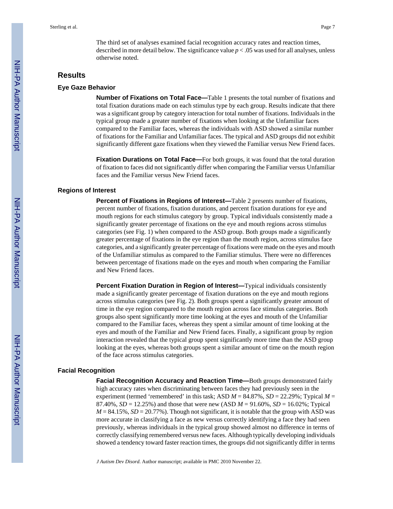The third set of analyses examined facial recognition accuracy rates and reaction times, described in more detail below. The significance value  $p < .05$  was used for all analyses, unless otherwise noted.

# **Results**

#### **Eye Gaze Behavior**

**Number of Fixations on Total Face—**Table 1 presents the total number of fixations and total fixation durations made on each stimulus type by each group. Results indicate that there was a significant group by category interaction for total number of fixations. Individuals in the typical group made a greater number of fixations when looking at the Unfamiliar faces compared to the Familiar faces, whereas the individuals with ASD showed a similar number of fixations for the Familiar and Unfamiliar faces. The typical and ASD groups did not exhibit significantly different gaze fixations when they viewed the Familiar versus New Friend faces.

**Fixation Durations on Total Face—**For both groups, it was found that the total duration of fixation to faces did not significantly differ when comparing the Familiar versus Unfamiliar faces and the Familiar versus New Friend faces.

#### **Regions of Interest**

**Percent of Fixations in Regions of Interest—**Table 2 presents number of fixations, percent number of fixations, fixation durations, and percent fixation durations for eye and mouth regions for each stimulus category by group. Typical individuals consistently made a significantly greater percentage of fixations on the eye and mouth regions across stimulus categories (see Fig. 1) when compared to the ASD group. Both groups made a significantly greater percentage of fixations in the eye region than the mouth region, across stimulus face categories, and a significantly greater percentage of fixations were made on the eyes and mouth of the Unfamiliar stimulus as compared to the Familiar stimulus. There were no differences between percentage of fixations made on the eyes and mouth when comparing the Familiar and New Friend faces.

**Percent Fixation Duration in Region of Interest—**Typical individuals consistently made a significantly greater percentage of fixation durations on the eye and mouth regions across stimulus categories (see Fig. 2). Both groups spent a significantly greater amount of time in the eye region compared to the mouth region across face stimulus categories. Both groups also spent significantly more time looking at the eyes and mouth of the Unfamiliar compared to the Familiar faces, whereas they spent a similar amount of time looking at the eyes and mouth of the Familiar and New Friend faces. Finally, a significant group by region interaction revealed that the typical group spent significantly more time than the ASD group looking at the eyes, whereas both groups spent a similar amount of time on the mouth region of the face across stimulus categories.

#### **Facial Recognition**

**Facial Recognition Accuracy and Reaction Time—**Both groups demonstrated fairly high accuracy rates when discriminating between faces they had previously seen in the experiment (termed 'remembered' in this task; ASD  $M = 84.87\%$ ,  $SD = 22.29\%$ ; Typical  $M =$ 87.40%,  $SD = 12.25\%$ ) and those that were new (ASD  $M = 91.60\%$ ,  $SD = 16.02\%$ ; Typical  $M = 84.15\%, SD = 20.77\%$ . Though not significant, it is notable that the group with ASD was more accurate in classifying a face as new versus correctly identifying a face they had seen previously, whereas individuals in the typical group showed almost no difference in terms of correctly classifying remembered versus new faces. Although typically developing individuals showed a tendency toward faster reaction times, the groups did not significantly differ in terms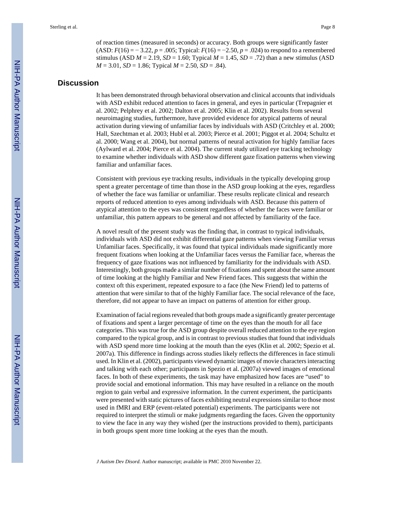of reaction times (measured in seconds) or accuracy. Both groups were significantly faster (ASD:  $F(16) = -3.22$ ,  $p = .005$ ; Typical:  $F(16) = -2.50$ ,  $p = .024$ ) to respond to a remembered stimulus (ASD  $M = 2.19$ ,  $SD = 1.60$ ; Typical  $M = 1.45$ ,  $SD = .72$ ) than a new stimulus (ASD  $M = 3.01$ ,  $SD = 1.86$ ; Typical  $M = 2.50$ ,  $SD = .84$ ).

# **Discussion**

It has been demonstrated through behavioral observation and clinical accounts that individuals with ASD exhibit reduced attention to faces in general, and eyes in particular (Trepagnier et al. 2002; Pelphrey et al. 2002; Dalton et al. 2005; Klin et al. 2002). Results from several neuroimaging studies, furthermore, have provided evidence for atypical patterns of neural activation during viewing of unfamiliar faces by individuals with ASD (Critchley et al. 2000; Hall, Szechtman et al. 2003; Hubl et al. 2003; Pierce et al. 2001; Piggot et al. 2004; Schultz et al. 2000; Wang et al. 2004), but normal patterns of neural activation for highly familiar faces (Aylward et al. 2004; Pierce et al. 2004). The current study utilized eye tracking technology to examine whether individuals with ASD show different gaze fixation patterns when viewing familiar and unfamiliar faces.

Consistent with previous eye tracking results, individuals in the typically developing group spent a greater percentage of time than those in the ASD group looking at the eyes, regardless of whether the face was familiar or unfamiliar. These results replicate clinical and research reports of reduced attention to eyes among individuals with ASD. Because this pattern of atypical attention to the eyes was consistent regardless of whether the faces were familiar or unfamiliar, this pattern appears to be general and not affected by familiarity of the face.

A novel result of the present study was the finding that, in contrast to typical individuals, individuals with ASD did not exhibit differential gaze patterns when viewing Familiar versus Unfamiliar faces. Specifically, it was found that typical individuals made significantly more frequent fixations when looking at the Unfamiliar faces versus the Familiar face, whereas the frequency of gaze fixations was not influenced by familiarity for the individuals with ASD. Interestingly, both groups made a similar number of fixations and spent about the same amount of time looking at the highly Familiar and New Friend faces. This suggests that within the context oft this experiment, repeated exposure to a face (the New Friend) led to patterns of attention that were similar to that of the highly Familiar face. The social relevance of the face, therefore, did not appear to have an impact on patterns of attention for either group.

Examination of facial regions revealed that both groups made a significantly greater percentage of fixations and spent a larger percentage of time on the eyes than the mouth for all face categories. This was true for the ASD group despite overall reduced attention to the eye region compared to the typical group, and is in contrast to previous studies that found that individuals with ASD spend more time looking at the mouth than the eyes (Klin et al. 2002; Spezio et al. 2007a). This difference in findings across studies likely reflects the differences in face stimuli used. In Klin et al. (2002), participants viewed dynamic images of movie characters interacting and talking with each other; participants in Spezio et al. (2007a) viewed images of emotional faces. In both of these experiments, the task may have emphasized how faces are "used" to provide social and emotional information. This may have resulted in a reliance on the mouth region to gain verbal and expressive information. In the current experiment, the participants were presented with static pictures of faces exhibiting neutral expressions similar to those most used in fMRI and ERP (event-related potential) experiments. The participants were not required to interpret the stimuli or make judgments regarding the faces. Given the opportunity to view the face in any way they wished (per the instructions provided to them), participants in both groups spent more time looking at the eyes than the mouth.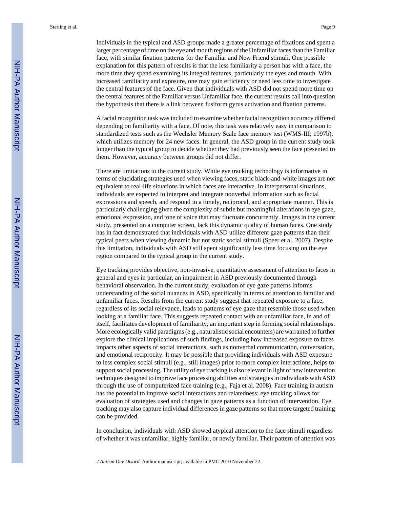Individuals in the typical and ASD groups made a greater percentage of fixations and spent a larger percentage of time on the eye and mouth regions of the Unfamiliar faces than the Familiar face, with similar fixation patterns for the Familiar and New Friend stimuli. One possible explanation for this pattern of results is that the less familiarity a person has with a face, the more time they spend examining its integral features, particularly the eyes and mouth. With increased familiarity and exposure, one may gain efficiency or need less time to investigate the central features of the face. Given that individuals with ASD did not spend more time on the central features of the Familiar versus Unfamiliar face, the current results call into question the hypothesis that there is a link between fusiform gyrus activation and fixation patterns.

A facial recognition task was included to examine whether facial recognition accuracy differed depending on familiarity with a face. Of note, this task was relatively easy in comparison to standardized tests such as the Wechsler Memory Scale face memory test (WMS-III; 1997b), which utilizes memory for 24 new faces. In general, the ASD group in the current study took longer than the typical group to decide whether they had previously seen the face presented to them. However, accuracy between groups did not differ.

There are limitations to the current study. While eye tracking technology is informative in terms of elucidating strategies used when viewing faces, static black-and-white images are not equivalent to real-life situations in which faces are interactive. In interpersonal situations, individuals are expected to interpret and integrate nonverbal information such as facial expressions and speech, and respond in a timely, reciprocal, and appropriate manner. This is particularly challenging given the complexity of subtle but meaningful alterations in eye gaze, emotional expression, and tone of voice that may fluctuate concurrently. Images in the current study, presented on a computer screen, lack this dynamic quality of human faces. One study has in fact demonstrated that individuals with ASD utilize different gaze patterns than their typical peers when viewing dynamic but not static social stimuli (Speer et al. 2007). Despite this limitation, individuals with ASD still spent significantly less time focusing on the eye region compared to the typical group in the current study.

Eye tracking provides objective, non-invasive, quantitative assessment of attention to faces in general and eyes in particular, an impairment in ASD previously documented through behavioral observation. In the current study, evaluation of eye gaze patterns informs understanding of the social nuances in ASD, specifically in terms of attention to familiar and unfamiliar faces. Results from the current study suggest that repeated exposure to a face, regardless of its social relevance, leads to patterns of eye gaze that resemble those used when looking at a familiar face. This suggests repeated contact with an unfamiliar face, in and of itself, facilitates development of familiarity, an important step in forming social relationships. More ecologically valid paradigms (e.g., naturalistic social encounters) are warranted to further explore the clinical implications of such findings, including how increased exposure to faces impacts other aspects of social interactions, such as nonverbal communication, conversation, and emotional reciprocity. It may be possible that providing individuals with ASD exposure to less complex social stimuli (e.g., still images) prior to more complex interactions, helps to support social processing. The utility of eye tracking is also relevant in light of new intervention techniques designed to improve face processing abilities and strategies in individuals with ASD through the use of computerized face training (e.g., Faja et al. 2008). Face training in autism has the potential to improve social interactions and relatedness; eye tracking allows for evaluation of strategies used and changes in gaze patterns as a function of intervention. Eye tracking may also capture individual differences in gaze patterns so that more targeted training can be provided.

In conclusion, individuals with ASD showed atypical attention to the face stimuli regardless of whether it was unfamiliar, highly familiar, or newly familiar. Their pattern of attention was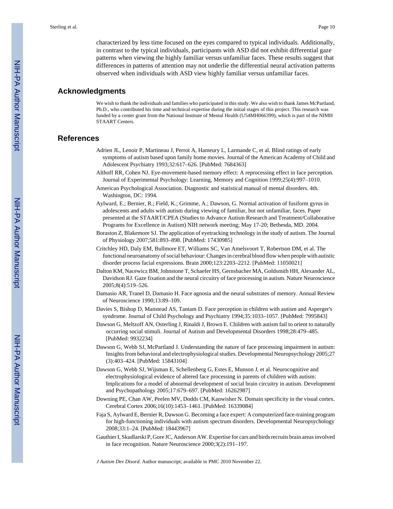characterized by less time focused on the eyes compared to typical individuals. Additionally, in contrast to the typical individuals, participants with ASD did not exhibit differential gaze patterns when viewing the highly familiar versus unfamiliar faces. These results suggest that differences in patterns of attention may not underlie the differential neural activation patterns observed when individuals with ASD view highly familiar versus unfamiliar faces.

# **Acknowledgments**

We wish to thank the individuals and families who participated in this study. We also wish to thank James McPartland, Ph.D., who contributed his time and technical expertise during the initial stages of this project. This research was funded by a center grant from the National Institute of Mental Health (U54MH066399), which is part of the NIMH STAART Centers.

## **References**

- Adrien JL, Lenoir P, Martineau J, Perrot A, Hameury L, Larmande C, et al. Blind ratings of early symptoms of autism based upon family home movies. Journal of the American Academy of Child and Adolescent Psychiatry 1993;32:617–626. [PubMed: 7684363]
- Althoff RR, Cohen NJ. Eye-movement-based memory effect: A reprocessing effect in face perception. Journal of Experimental Psychology: Learning, Memory and Cognition 1999;25(4):997–1010.
- American Psychological Association. Diagnostic and statistical manual of mental disorders. 4th. Washington, DC: 1994.
- Aylward, E.; Bernier, R.; Field, K.; Grimme, A.; Dawson, G. Normal activation of fusiform gyrus in adolescents and adults with autism during viewing of familiar, but not unfamiliar, faces. Paper presented at the STAART/CPEA (Studies to Advance Autism Research and Treatment/Collaborative Programs for Excellence in Autism) NIH network meeting; May 17-20; Bethesda, MD. 2004.
- Boraston Z, Blakemore SJ. The application of eyetracking technology in the study of autism. The Journal of Physiology 2007;581:893–898. [PubMed: 17430985]
- Critchley HD, Daly EM, Bullmore ET, Williams SC, Van Amelsvoort T, Robertson DM, et al. The functional neuroanatomy of social behaviour: Changes in cerebral blood flow when people with autistic disorder process facial expressions. Brain 2000;123:2203–2212. [PubMed: 11050021]
- Dalton KM, Nacewicz BM, Johnstone T, Schaefer HS, Gernsbacher MA, Goldsmith HH, Alexander AL, Davidson RJ. Gaze fixation and the neural circuitry of face processing in autism. Nature Neuroscience 2005;8(4):519–526.
- Damasio AR, Tranel D, Damasio H. Face agnosia and the neural substrates of memory. Annual Review of Neuroscience 1990;13:89–109.
- Davies S, Bishop D, Manstead AS, Tantam D. Face perception in children with autism and Asperger's syndrome. Journal of Child Psychology and Psychiatry 1994;35:1033–1057. [PubMed: 7995843]
- Dawson G, Meltzoff AN, Osterling J, Rinaldi J, Brown E. Children with autism fail to orient to naturally occurring social stimuli. Journal of Autism and Developmental Disorders 1998;28:479–485. [PubMed: 9932234]
- Dawson G, Webb SJ, McPartland J. Understanding the nature of face processing impairment in autism: Insights from behavioral and electrophysiological studies. Developmental Neuropsychology 2005;27 (3):403–424. [PubMed: 15843104]
- Dawson G, Webb SJ, Wijsman E, Schellenberg G, Estes E, Munson J, et al. Neurocognitive and electrophysiological evidence of altered face processing in parents of children with autism: Implications for a model of abnormal development of social brain circuitry in autism. Development and Psychopathology 2005;17:679–697. [PubMed: 16262987]
- Downing PE, Chan AW, Peelen MV, Dodds CM, Kanwisher N. Domain specificity in the visual cortex. Cerebral Cortex 2006;16(10):1453–1461. [PubMed: 16339084]
- Faja S, Aylward E, Bernier R, Dawson G. Becoming a face expert: A computerized face-training program for high-functioning individuals with autism spectrum disorders. Developmental Neuropsychology 2008;33:1–24. [PubMed: 18443967]
- Gauthier I, Skudlarski P, Gore JC, Anderson AW. Expertise for cars and birds recruits brain areas involved in face recognition. Nature Neuroscience 2000;3(2):191–197.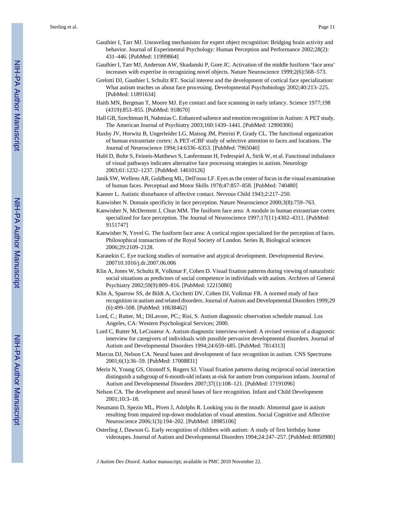- Gauthier I, Tarr MJ. Unraveling mechanisms for expert object recognition: Bridging brain activity and behavior. Journal of Experimental Psychology: Human Perception and Performance 2002;28(2): 431–446. [PubMed: 11999864]
- Gauthier I, Tarr MJ, Anderson AW, Skudanski P, Gore JC. Activation of the middle fusiform 'face area' increases with expertise in recognizing novel objects. Nature Neuroscience 1999;2(6):568–573.
- Grelotti DJ, Gauthier I, Schultz RT. Social interest and the development of cortical face specialization: What autism teaches us about face processing. Developmental Psychobiology 2002;40:213–225. [PubMed: 11891634]
- Haith MN, Bergman T, Moore MJ. Eye contact and face scanning in early infancy. Science 1977;198 (4319):853–855. [PubMed: 918670]
- Hall GB, Szechtman H, Nahmias C. Enhanced salience and emotion recognition in Autism: A PET study. The American Journal of Psychiatry 2003;160:1439–1441. [PubMed: 12900306]
- Haxby JV, Horwitz B, Ungerleider LG, Maisog JM, Pietrini P, Grady CL. The functional organization of human extrastriate cortex: A PET-rCBF study of selective attention to faces and locations. The Journal of Neuroscience 1994;14:6336–6353. [PubMed: 7965040]
- Hubl D, Bolte S, Feineis-Matthews S, Lanfermann H, Federspiel A, Strik W, et al. Functional imbalance of visual pathways indicates alternative face processing strategies in autism. Neurology 2003;61:1232–1237. [PubMed: 14610126]
- Janik SW, Wellens AR, Goldberg ML, Dell'osso LF. Eyes as the center of focus in the visual examination of human faces. Perceptual and Motor Skills 1978;47:857–858. [PubMed: 740480]
- Kanner L. Autistic disturbance of affective contact. Nervous Child 1943;2:217–250.
- Kanwisher N. Domain specificity in face perception. Nature Neuroscience 2000;3(8):759–763.
- Kanwisher N, McDermott J, Chun MM. The fusiform face area: A module in human extrastriate cortex specialized for face perception. The Journal of Neuroscience 1997;17(11):4302–4311. [PubMed: 9151747]
- Kanwisher N, Yovel G. The fusiform face area: A cortical region specialized for the perception of faces. Philosophical transactions of the Royal Society of London. Series B, Biological sciences 2006;29:2109–2128.
- Karatekin C. Eye tracking studies of normative and atypical development. Developmental Review. 200710.1016/j.dr.2007.06.006
- Klin A, Jones W, Schultz R, Volkmar F, Cohen D. Visual fixation patterns during viewing of naturalistic social situations as predictors of social competence in individuals with autism. Archives of General Psychiatry 2002;59(9):809–816. [PubMed: 12215080]
- Klin A, Sparrow SS, de Bildt A, Cicchetti DV, Cohen DJ, Volkmar FR. A normed study of face recognition in autism and related disorders. Journal of Autism and Developmental Disorders 1999;29 (6):499–508. [PubMed: 10638462]
- Lord, C.; Rutter, M.; DiLavore, PC.; Risi, S. Autism diagnostic observation schedule manual. Los Angeles, CA: Western Psychological Services; 2000.
- Lord C, Rutter M, LeCouteur A. Autism diagnostic interview-revised: A revised version of a diagnostic interview for caregivers of individuals with possible pervasive developmental disorders. Journal of Autism and Developmental Disorders 1994;24:659–685. [PubMed: 7814313]
- Marcus DJ, Nelson CA. Neural bases and development of face recognition in autism. CNS Spectrums 2001;6(1):36–59. [PubMed: 17008831]
- Merin N, Young GS, Ozonoff S, Rogers SJ. Visual fixation patterns during reciprocal social interaction distinguish a subgroup of 6-month-old infants at-risk for autism from comparison infants. Journal of Autism and Developmental Disorders 2007;37(1):108–121. [PubMed: 17191096]
- Nelson CA. The development and neural bases of face recognition. Infant and Child Development 2001;10:3–18.
- Neumann D, Spezio ML, Piven J, Adolphs R. Looking you in the mouth: Abnormal gaze in autism resulting from impaired top-down modulation of visual attention. Social Cognitive and Affective Neuroscience 2006;1(3):194–202. [PubMed: 18985106]
- Osterling J, Dawson G. Early recognition of children with autism: A study of first birthday home videotapes. Journal of Autism and Developmental Disorders 1994;24:247–257. [PubMed: 8050980]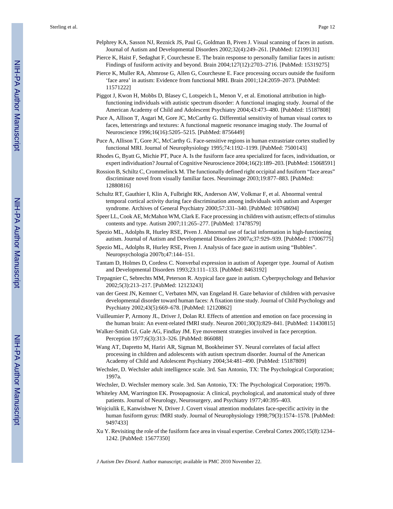Sterling et al. Page 12

- Pelphrey KA, Sasson NJ, Reznick JS, Paul G, Goldman B, Piven J. Visual scanning of faces in autism. Journal of Autism and Developmental Disorders 2002;32(4):249–261. [PubMed: 12199131]
- Pierce K, Haist F, Sedaghat F, Courchesne E. The brain response to personally familiar faces in autism: Findings of fusiform activity and beyond. Brain 2004;127(12):2703–2716. [PubMed: 15319275]
- Pierce K, Muller RA, Abmrose G, Allen G, Courchesne E. Face processing occurs outside the fusiform 'face area' in autism: Evidence from functional MRI. Brain 2001;124:2059–2073. [PubMed: 11571222]
- Piggot J, Kwon H, Mobbs D, Blasey C, Lotspeich L, Menon V, et al. Emotional attribution in highfunctioning individuals with autistic spectrum disorder: A functional imaging study. Journal of the American Academy of Child and Adolescent Psychiatry 2004;43:473–480. [PubMed: 15187808]
- Puce A, Allison T, Asgari M, Gore JC, McCarthy G. Differential sensitivity of human visual cortex to faces, letterstrings and textures: A functional magnetic resonance imaging study. The Journal of Neuroscience 1996;16(16):5205–5215. [PubMed: 8756449]
- Puce A, Allison T, Gore JC, McCarthy G. Face-sensitive regions in human extrastriate cortex studied by functional MRI. Journal of Neurophysiology 1995;74:1192–1199. [PubMed: 7500143]
- Rhodes G, Byatt G, Michie PT, Puce A. Is the fusiform face area specialized for faces, individuation, or expert individuation? Journal of Cognitive Neuroscience 2004;16(2):189–203. [PubMed: 15068591]
- Rossion B, Schiltz C, Crommelinck M. The functionally defined right occipital and fusiform "face areas" discriminate novel from visually familiar faces. Neuroimage 2003;19:877–883. [PubMed: 12880816]
- Schultz RT, Gauthier I, Klin A, Fulbright RK, Anderson AW, Volkmar F, et al. Abnormal ventral temporal cortical activity during face discrimination among individuals with autism and Asperger syndrome. Archives of General Psychiatry 2000;57:331–340. [PubMed: 10768694]
- Speer LL, Cook AE, McMahon WM, Clark E. Face processing in children with autism; effects of stimulus contents and type. Autism 2007;11:265–277. [PubMed: 17478579]
- Spezio ML, Adolphs R, Hurley RSE, Piven J. Abnormal use of facial information in high-functioning autism. Journal of Autism and Developmental Disorders 2007a;37:929–939. [PubMed: 17006775]
- Spezio ML, Adolphs R, Hurley RSE, Piven J. Analysis of face gaze in autism using "Bubbles". Neuropsychologia 2007b;47:144–151.
- Tantam D, Holmes D, Cordess C. Nonverbal expression in autism of Asperger type. Journal of Autism and Developmental Disorders 1993;23:111–133. [PubMed: 8463192]
- Trepagnier C, Sebrechts MM, Peterson R. Atypical face gaze in autism. Cyberpsychology and Behavior 2002;5(3):213–217. [PubMed: 12123243]
- van der Geest JN, Kemner C, Verbaten MN, van Engeland H. Gaze behavior of children with pervasive developmental disorder toward human faces: A fixation time study. Journal of Child Psychology and Psychiatry 2002;43(5):669–678. [PubMed: 12120862]
- Vuilleumier P, Armony JL, Driver J, Dolan RJ. Effects of attention and emotion on face processing in the human brain: An event-related fMRI study. Neuron 2001;30(3):829–841. [PubMed: 11430815]
- Walker-Smith GJ, Gale AG, Findlay JM. Eye movement strategies involved in face perception. Perception 1977;6(3):313–326. [PubMed: 866088]
- Wang AT, Dapretto M, Hariri AR, Sigman M, Bookheimer SY. Neural correlates of facial affect processing in children and adolescents with autism spectrum disorder. Journal of the American Academy of Child and Adolescent Psychiatry 2004;34:481–490. [PubMed: 15187809]
- Wechsler, D. Wechsler adult intelligence scale. 3rd. San Antonio, TX: The Psychological Corporation; 1997a.
- Wechsler, D. Wechsler memory scale. 3rd. San Antonio, TX: The Psychological Corporation; 1997b.
- Whiteley AM, Warrington EK. Prosopagnosia: A clinical, psychological, and anatomical study of three patients. Journal of Neurology, Neurosurgery, and Psychiatry 1977;40:395–403.
- Wojciulik E, Kanwishwer N, Driver J. Covert visual attention modulates face-specific activity in the human fusiform gyrus: fMRI study. Journal of Neurophysiology 1998;79(3):1574–1578. [PubMed: 9497433]
- Xu Y. Revisiting the role of the fusiform face area in visual expertise. Cerebral Cortex 2005;15(8):1234– 1242. [PubMed: 15677350]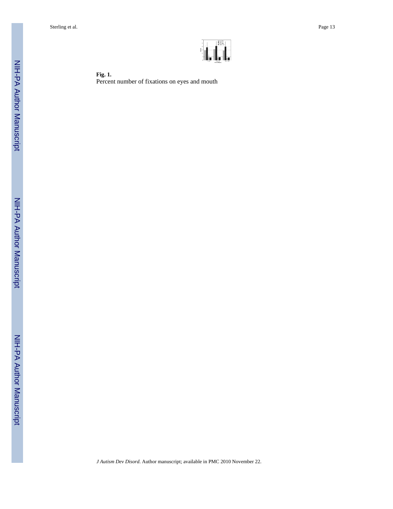Sterling et al. Page 13



**Fig. 1.** Percent number of fixations on eyes and mouth

*J Autism Dev Disord*. Author manuscript; available in PMC 2010 November 22.

NIH-PA Author Manuscript NIH-PA Author Manuscript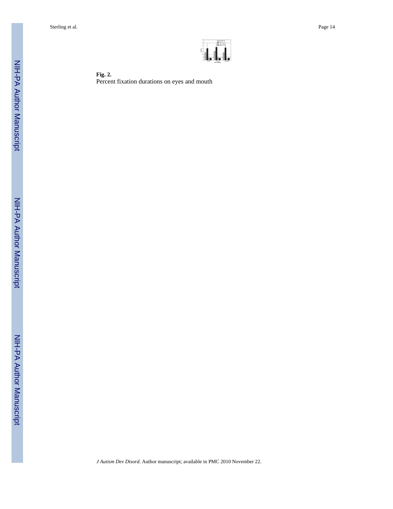Sterling et al. Page 14



**Fig. 2.** Percent fixation durations on eyes and mouth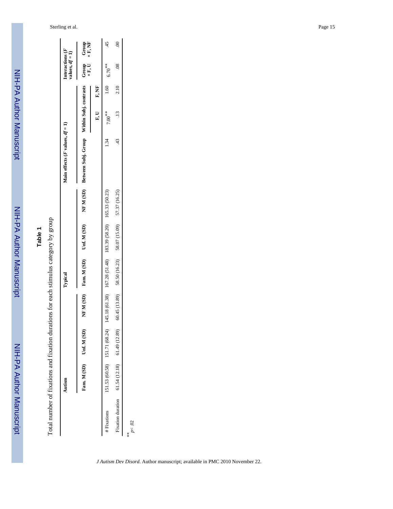NIH-PA Author ManuscriptNIH-PA Author Manuscript

**Table 1**

| ı                                                                                 |
|-----------------------------------------------------------------------------------|
|                                                                                   |
| ちょうくちょう こうし こうこくしん くそくく くうこうこう<br>$\sim$ $\approx$ $\sim$ $\sim$ $\approx$ $\sim$ |
|                                                                                   |
|                                                                                   |
|                                                                                   |
|                                                                                   |
|                                                                                   |
|                                                                                   |
|                                                                                   |
|                                                                                   |
|                                                                                   |
|                                                                                   |
|                                                                                   |
| Total number of fixations and fixation durations for each stimu-                  |
| I                                                                                 |

|                                               | Autism                        |                         | Typical                                                     |  | Main effects ( $F$ values, $df = 1$ )                |                 | Interactions (F<br>values, $df = 1$ )       |            |
|-----------------------------------------------|-------------------------------|-------------------------|-------------------------------------------------------------|--|------------------------------------------------------|-----------------|---------------------------------------------|------------|
|                                               |                               | Fam. M (SD) Unf. M (SD) | $NFA (SD)$ Fam. M $(SD)$ Unf. M $(SD)$                      |  | NF M (SD) Between Subj. Group Within Subj. contrasts |                 | Group Group<br>$\times$ F, U $\times$ F, NF |            |
|                                               |                               |                         |                                                             |  |                                                      | $F, U$ $F, NP$  |                                             |            |
| # Fixations                                   | 151.53 (60.58) 151.71 (68.24) |                         | 145.18 (61.38) 167.28 (51.48) 183.39 (58.20) 165.33 (50.23) |  |                                                      | $1.34$ $7.00**$ | $1.60 \qquad 6.70***$                       |            |
| Fixation duration 61.54 (12.18) 61.49 (12.89) |                               |                         | 60.45 (13.89) 58.50 (16.23) 58.07 (15.09) 57.37 (16.25)     |  | 43                                                   | $\frac{13}{2}$  | 2.10 .08                                    | $\epsilon$ |
| p<.02<br>$*$                                  |                               |                         |                                                             |  |                                                      |                 |                                             |            |